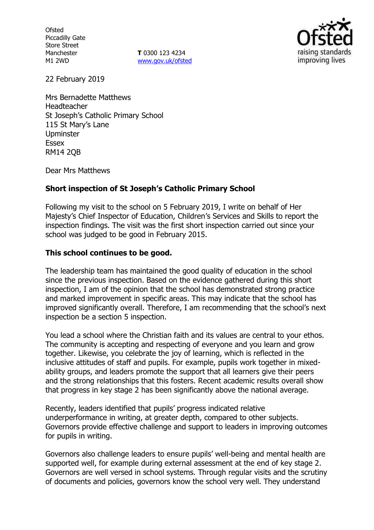**Ofsted** Piccadilly Gate Store Street Manchester M1 2WD

**T** 0300 123 4234 www.gov.uk/ofsted



22 February 2019

Mrs Bernadette Matthews Headteacher St Joseph's Catholic Primary School 115 St Mary's Lane Upminster Essex RM14 2QB

Dear Mrs Matthews

# **Short inspection of St Joseph's Catholic Primary School**

Following my visit to the school on 5 February 2019, I write on behalf of Her Majesty's Chief Inspector of Education, Children's Services and Skills to report the inspection findings. The visit was the first short inspection carried out since your school was judged to be good in February 2015.

# **This school continues to be good.**

The leadership team has maintained the good quality of education in the school since the previous inspection. Based on the evidence gathered during this short inspection, I am of the opinion that the school has demonstrated strong practice and marked improvement in specific areas. This may indicate that the school has improved significantly overall. Therefore, I am recommending that the school's next inspection be a section 5 inspection.

You lead a school where the Christian faith and its values are central to your ethos. The community is accepting and respecting of everyone and you learn and grow together. Likewise, you celebrate the joy of learning, which is reflected in the inclusive attitudes of staff and pupils. For example, pupils work together in mixedability groups, and leaders promote the support that all learners give their peers and the strong relationships that this fosters. Recent academic results overall show that progress in key stage 2 has been significantly above the national average.

Recently, leaders identified that pupils' progress indicated relative underperformance in writing, at greater depth, compared to other subjects. Governors provide effective challenge and support to leaders in improving outcomes for pupils in writing.

Governors also challenge leaders to ensure pupils' well-being and mental health are supported well, for example during external assessment at the end of key stage 2. Governors are well versed in school systems. Through regular visits and the scrutiny of documents and policies, governors know the school very well. They understand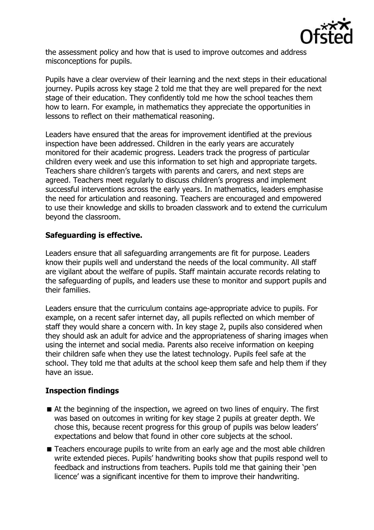

the assessment policy and how that is used to improve outcomes and address misconceptions for pupils.

Pupils have a clear overview of their learning and the next steps in their educational journey. Pupils across key stage 2 told me that they are well prepared for the next stage of their education. They confidently told me how the school teaches them how to learn. For example, in mathematics they appreciate the opportunities in lessons to reflect on their mathematical reasoning.

Leaders have ensured that the areas for improvement identified at the previous inspection have been addressed. Children in the early years are accurately monitored for their academic progress. Leaders track the progress of particular children every week and use this information to set high and appropriate targets. Teachers share children's targets with parents and carers, and next steps are agreed. Teachers meet regularly to discuss children's progress and implement successful interventions across the early years. In mathematics, leaders emphasise the need for articulation and reasoning. Teachers are encouraged and empowered to use their knowledge and skills to broaden classwork and to extend the curriculum beyond the classroom.

# **Safeguarding is effective.**

Leaders ensure that all safeguarding arrangements are fit for purpose. Leaders know their pupils well and understand the needs of the local community. All staff are vigilant about the welfare of pupils. Staff maintain accurate records relating to the safeguarding of pupils, and leaders use these to monitor and support pupils and their families.

Leaders ensure that the curriculum contains age-appropriate advice to pupils. For example, on a recent safer internet day, all pupils reflected on which member of staff they would share a concern with. In key stage 2, pupils also considered when they should ask an adult for advice and the appropriateness of sharing images when using the internet and social media. Parents also receive information on keeping their children safe when they use the latest technology. Pupils feel safe at the school. They told me that adults at the school keep them safe and help them if they have an issue.

# **Inspection findings**

- At the beginning of the inspection, we agreed on two lines of enquiry. The first was based on outcomes in writing for key stage 2 pupils at greater depth. We chose this, because recent progress for this group of pupils was below leaders' expectations and below that found in other core subjects at the school.
- Teachers encourage pupils to write from an early age and the most able children write extended pieces. Pupils' handwriting books show that pupils respond well to feedback and instructions from teachers. Pupils told me that gaining their 'pen licence' was a significant incentive for them to improve their handwriting.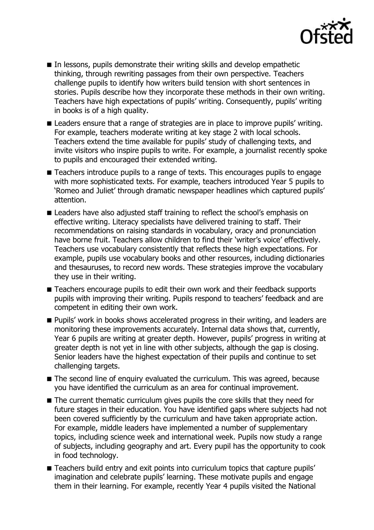

- In lessons, pupils demonstrate their writing skills and develop empathetic thinking, through rewriting passages from their own perspective. Teachers challenge pupils to identify how writers build tension with short sentences in stories. Pupils describe how they incorporate these methods in their own writing. Teachers have high expectations of pupils' writing. Consequently, pupils' writing in books is of a high quality.
- Leaders ensure that a range of strategies are in place to improve pupils' writing. For example, teachers moderate writing at key stage 2 with local schools. Teachers extend the time available for pupils' study of challenging texts, and invite visitors who inspire pupils to write. For example, a journalist recently spoke to pupils and encouraged their extended writing.
- Teachers introduce pupils to a range of texts. This encourages pupils to engage with more sophisticated texts. For example, teachers introduced Year 5 pupils to 'Romeo and Juliet' through dramatic newspaper headlines which captured pupils' attention.
- Leaders have also adjusted staff training to reflect the school's emphasis on effective writing. Literacy specialists have delivered training to staff. Their recommendations on raising standards in vocabulary, oracy and pronunciation have borne fruit. Teachers allow children to find their 'writer's voice' effectively. Teachers use vocabulary consistently that reflects these high expectations. For example, pupils use vocabulary books and other resources, including dictionaries and thesauruses, to record new words. These strategies improve the vocabulary they use in their writing.
- Teachers encourage pupils to edit their own work and their feedback supports pupils with improving their writing. Pupils respond to teachers' feedback and are competent in editing their own work.
- **Pupils'** work in books shows accelerated progress in their writing, and leaders are monitoring these improvements accurately. Internal data shows that, currently, Year 6 pupils are writing at greater depth. However, pupils' progress in writing at greater depth is not yet in line with other subjects, although the gap is closing. Senior leaders have the highest expectation of their pupils and continue to set challenging targets.
- The second line of enquiry evaluated the curriculum. This was agreed, because you have identified the curriculum as an area for continual improvement.
- The current thematic curriculum gives pupils the core skills that they need for future stages in their education. You have identified gaps where subjects had not been covered sufficiently by the curriculum and have taken appropriate action. For example, middle leaders have implemented a number of supplementary topics, including science week and international week. Pupils now study a range of subjects, including geography and art. Every pupil has the opportunity to cook in food technology.
- Teachers build entry and exit points into curriculum topics that capture pupils' imagination and celebrate pupils' learning. These motivate pupils and engage them in their learning. For example, recently Year 4 pupils visited the National